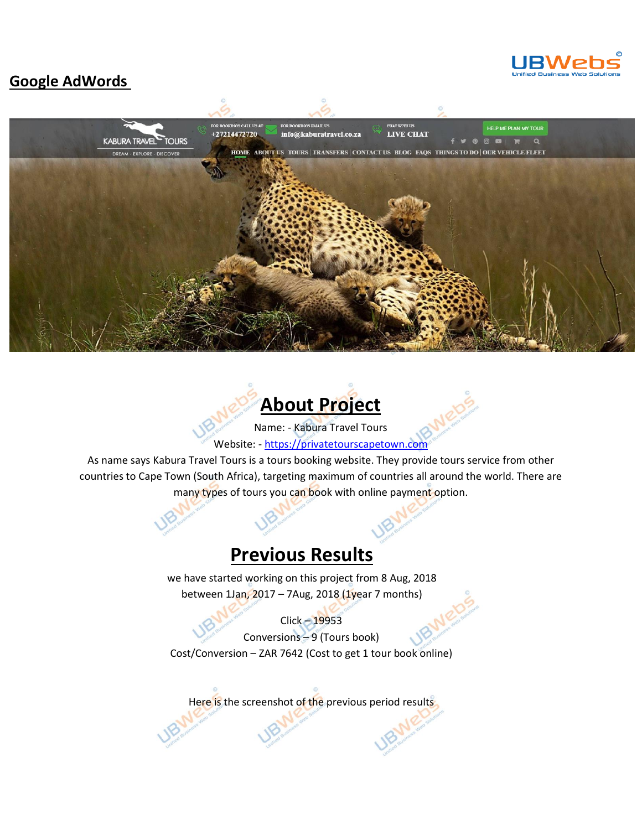

#### **Google AdWords**





Name: - Kabura Travel Tours Website: - [https://privatetourscapetown.com](https://privatetourscapetown.com/)

As name says Kabura Travel Tours is a tours booking website. They provide tours service from other countries to Cape Town (South Africa), targeting maximum of countries all around the world. There are many types of tours you can book with online payment option.

### **Previous Results**

we have started working on this project from 8 Aug, 2018 between 1Jan, 2017 – 7Aug, 2018 (1year 7 months)

Click – 19953 Conversions – 9 (Tours book) Cost/Conversion – ZAR 7642 (Cost to get 1 tour book online)

Here is the screenshot of the previous period results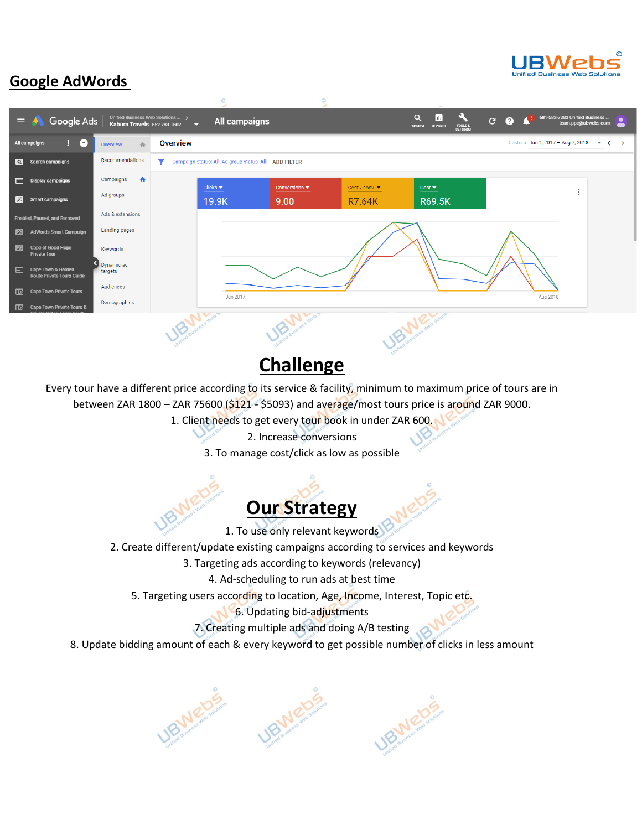

### **Google AdWords**



## **Challenge**

Every tour have a different price according to its service & facility, minimum to maximum price of tours are in between ZAR 1800 – ZAR 75600 (\$121 - \$5093) and average/most tours price is around ZAR 9000.

- 1. Client needs to get every tour book in under ZAR 600.
	- 2. Increase conversions
	- 3. To manage cost/click as low as possible

# **Our Strategy**

1. To use only relevant keywords

- 2. Create different/update existing campaigns according to services and keywords
	- 3. Targeting ads according to keywords (relevancy)

4. Ad-scheduling to run ads at best time

5. Targeting users according to location, Age, Income, Interest, Topic etc.

6. Updating bid-adjustments

- 7. Creating multiple ads and doing A/B testing
- 8. Update bidding amount of each & every keyword to get possible number of clicks in less amount

URWEDS UBMEDE **UBMetas**